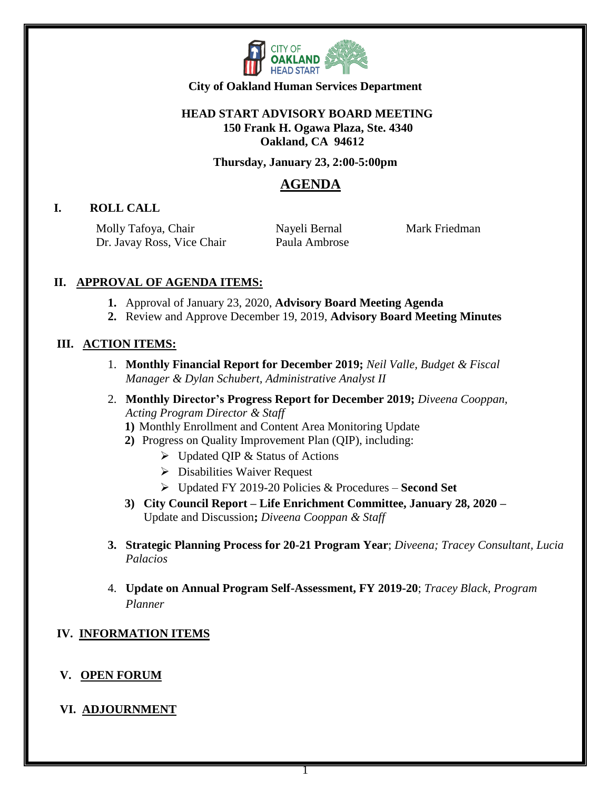

#### **HEAD START ADVISORY BOARD MEETING 150 Frank H. Ogawa Plaza, Ste. 4340 Oakland, CA 94612**

#### **Thursday, January 23, 2:00-5:00pm**

# **AGENDA**

#### **I. ROLL CALL**

Molly Tafoya, Chair Dr. Javay Ross, Vice Chair  Nayeli Bernal Paula Ambrose Mark Friedman

#### **II. APPROVAL OF AGENDA ITEMS:**

- **1.** Approval of January 23, 2020, **Advisory Board Meeting Agenda**
- **2.** Review and Approve December 19, 2019, **Advisory Board Meeting Minutes**

#### **III. ACTION ITEMS:**

- 1. **Monthly Financial Report for December 2019;** *Neil Valle, Budget & Fiscal Manager & Dylan Schubert, Administrative Analyst II*
- 2. **Monthly Director's Progress Report for December 2019;** *Diveena Cooppan, Acting Program Director & Staff*
	- **1)** Monthly Enrollment and Content Area Monitoring Update
	- **2)** Progress on Quality Improvement Plan (QIP), including:
		- ➢ Updated QIP & Status of Actions
		- ➢ Disabilities Waiver Request
		- ➢ Updated FY 2019-20 Policies & Procedures **Second Set**
	- **3) City Council Report – Life Enrichment Committee, January 28, 2020 –** Update and Discussion**;** *Diveena Cooppan & Staff*
- **3. Strategic Planning Process for 20-21 Program Year**; *Diveena; Tracey Consultant, Lucia Palacios*
- 4. **Update on Annual Program Self-Assessment, FY 2019-20**; *Tracey Black, Program Planner*

#### **IV. INFORMATION ITEMS**

#### **V. OPEN FORUM**

#### **VI. ADJOURNMENT**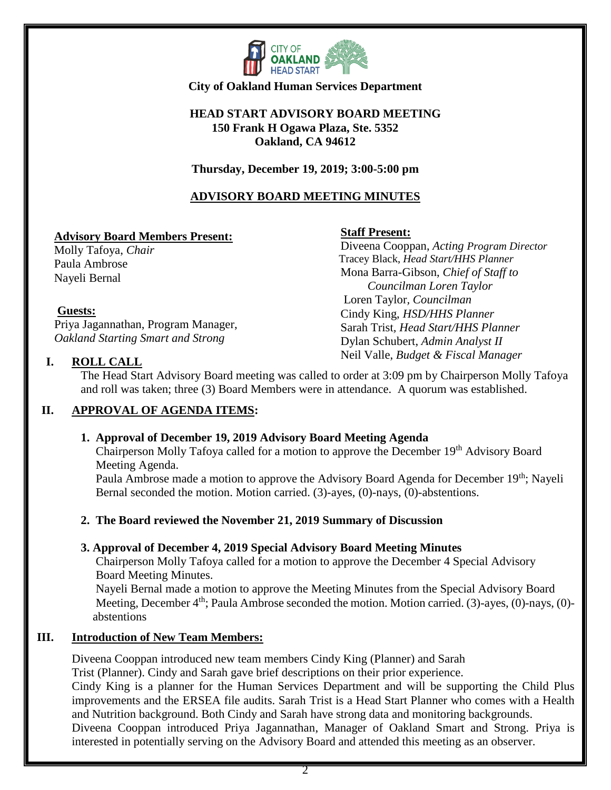

### **HEAD START ADVISORY BOARD MEETING 150 Frank H Ogawa Plaza, Ste. 5352 Oakland, CA 94612**

### **Thursday, December 19, 2019; 3:00-5:00 pm**

## **ADVISORY BOARD MEETING MINUTES**

### **Advisory Board Members Present:**

Molly Tafoya, *Chair* Paula Ambrose Nayeli Bernal

### **Staff Present:**

 Diveena Cooppan, *Acting Program Director* Tracey Black, *Head Start/HHS Planner* Mona Barra-Gibson, *Chief of Staff to Councilman Loren Taylor* Loren Taylor*, Councilman* Cindy King, *HSD/HHS Planner* Sarah Trist*, Head Start/HHS Planner* Dylan Schubert, *Admin Analyst II* Neil Valle, *Budget & Fiscal Manager*

#### **Guests:**

Priya Jagannathan, Program Manager, *Oakland Starting Smart and Strong*

## **I. ROLL CALL**

**THE CALL**<br>The Head Start Advisory Board meeting was called to order at 3:09 pm by Chairperson Molly Tafoya and roll was taken; three (3) Board Members were in attendance. A quorum was established.

## **II. APPROVAL OF AGENDA ITEMS:**

## **1. Approval of December 19, 2019 Advisory Board Meeting Agenda**

Chairperson Molly Tafoya called for a motion to approve the December 19<sup>th</sup> Advisory Board Meeting Agenda.

Paula Ambrose made a motion to approve the Advisory Board Agenda for December 19<sup>th</sup>; Nayeli Bernal seconded the motion. Motion carried. (3)-ayes, (0)-nays, (0)-abstentions.

#### **2. The Board reviewed the November 21, 2019 Summary of Discussion**

#### **3. Approval of December 4, 2019 Special Advisory Board Meeting Minutes**

 Chairperson Molly Tafoya called for a motion to approve the December 4 Special Advisory Board Meeting Minutes.

 Nayeli Bernal made a motion to approve the Meeting Minutes from the Special Advisory Board Meeting, December 4<sup>th</sup>; Paula Ambrose seconded the motion. Motion carried. (3)-ayes, (0)-nays, (0)abstentions

## **III. Introduction of New Team Members:**

Diveena Cooppan introduced new team members Cindy King (Planner) and Sarah Trist (Planner). Cindy and Sarah gave brief descriptions on their prior experience.

Cindy King is a planner for the Human Services Department and will be supporting the Child Plus improvements and the ERSEA file audits. Sarah Trist is a Head Start Planner who comes with a Health and Nutrition background. Both Cindy and Sarah have strong data and monitoring backgrounds.

Diveena Cooppan introduced Priya Jagannathan, Manager of Oakland Smart and Strong. Priya is interested in potentially serving on the Advisory Board and attended this meeting as an observer.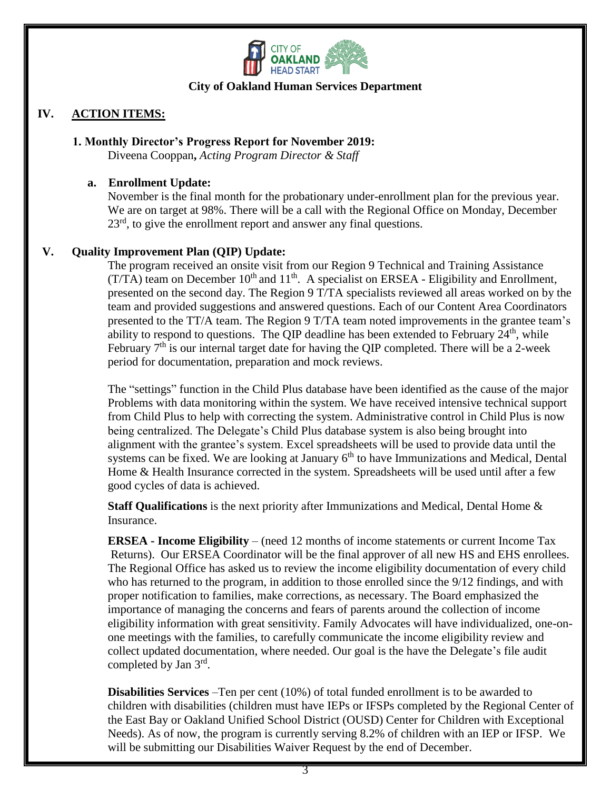

## **IV. ACTION ITEMS:**

### **1. Monthly Director's Progress Report for November 2019:**

Diveena Cooppan**,** *Acting Program Director & Staff*

#### **a. Enrollment Update:**

November is the final month for the probationary under-enrollment plan for the previous year. We are on target at 98%. There will be a call with the Regional Office on Monday, December  $23<sup>rd</sup>$ , to give the enrollment report and answer any final questions.

### **V. Quality Improvement Plan (QIP) Update:**

The program received an onsite visit from our Region 9 Technical and Training Assistance (T/TA) team on December  $10<sup>th</sup>$  and  $11<sup>th</sup>$ . A specialist on ERSEA - Eligibility and Enrollment, presented on the second day. The Region 9 T/TA specialists reviewed all areas worked on by the team and provided suggestions and answered questions. Each of our Content Area Coordinators presented to the TT/A team. The Region 9 T/TA team noted improvements in the grantee team's ability to respond to questions. The QIP deadline has been extended to February  $24<sup>th</sup>$ , while February 7<sup>th</sup> is our internal target date for having the QIP completed. There will be a 2-week period for documentation, preparation and mock reviews.

The "settings" function in the Child Plus database have been identified as the cause of the major Problems with data monitoring within the system. We have received intensive technical support from Child Plus to help with correcting the system. Administrative control in Child Plus is now being centralized. The Delegate's Child Plus database system is also being brought into alignment with the grantee's system. Excel spreadsheets will be used to provide data until the systems can be fixed. We are looking at January  $6<sup>th</sup>$  to have Immunizations and Medical, Dental Home & Health Insurance corrected in the system. Spreadsheets will be used until after a few good cycles of data is achieved. t

**Staff Qualifications** is the next priority after Immunizations and Medical, Dental Home & Insurance. <sup>-</sup>

**ERSEA - Income Eligibility** – (need 12 months of income statements or current Income Tax Returns). Our ERSEA Coordinator will be the final approver of all new HS and EHS enrollees. The Regional Office has asked us to review the income eligibility documentation of every child who has returned to the program, in addition to those enrolled since the 9/12 findings, and with proper notification to families, make corrections, as necessary. The Board emphasized the importance of managing the concerns and fears of parents around the collection of income eligibility information with great sensitivity. Family Advocates will have individualized, one-onone meetings with the families, to carefully communicate the income eligibility review and collect updated documentation, where needed. Our goal is the have the Delegate's file audit completed by Jan 3<sup>rd</sup>.

**Disabilities Services** –Ten per cent (10%) of total funded enrollment is to be awarded to children with disabilities (children must have IEPs or IFSPs completed by the Regional Center of the East Bay or Oakland Unified School District (OUSD) Center for Children with Exceptional Needs). As of now, the program is currently serving 8.2% of children with an IEP or IFSP. We will be submitting our Disabilities Waiver Request by the end of December.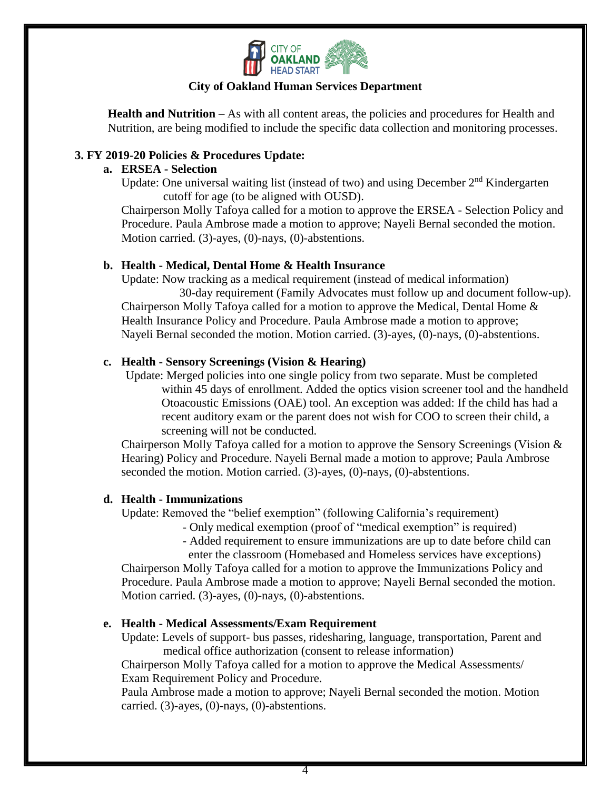

**Health and Nutrition** – As with all content areas, the policies and procedures for Health and Nutrition, are being modified to include the specific data collection and monitoring processes.

#### **3. FY 2019-20 Policies & Procedures Update:**

#### **a. ERSEA - Selection**

Update: One universal waiting list (instead of two) and using December  $2<sup>nd</sup>$  Kindergarten cutoff for age (to be aligned with OUSD).

Chairperson Molly Tafoya called for a motion to approve the ERSEA - Selection Policy and Procedure. Paula Ambrose made a motion to approve; Nayeli Bernal seconded the motion. Motion carried. (3)-ayes, (0)-nays, (0)-abstentions.

#### **b. Health - Medical, Dental Home & Health Insurance**

Update: Now tracking as a medical requirement (instead of medical information)

30-day requirement (Family Advocates must follow up and document follow-up). Chairperson Molly Tafoya called for a motion to approve the Medical, Dental Home & Health Insurance Policy and Procedure. Paula Ambrose made a motion to approve; Nayeli Bernal seconded the motion. Motion carried. (3)-ayes, (0)-nays, (0)-abstentions.

#### **c. Health - Sensory Screenings (Vision & Hearing)**

Update: Merged policies into one single policy from two separate. Must be completed within 45 days of enrollment. Added the optics vision screener tool and the handheld Otoacoustic Emissions (OAE) tool. An exception was added: If the child has had a recent auditory exam or the parent does not wish for COO to screen their child, a screening will not be conducted.

Chairperson Molly Tafoya called for a motion to approve the Sensory Screenings (Vision & Hearing) Policy and Procedure. Nayeli Bernal made a motion to approve; Paula Ambrose seconded the motion. Motion carried. (3)-ayes, (0)-nays, (0)-abstentions.

#### **d. Health - Immunizations**

Update: Removed the "belief exemption" (following California's requirement)

- Only medical exemption (proof of "medical exemption" is required)
- Added requirement to ensure immunizations are up to date before child can enter the classroom (Homebased and Homeless services have exceptions)

Chairperson Molly Tafoya called for a motion to approve the Immunizations Policy and Procedure. Paula Ambrose made a motion to approve; Nayeli Bernal seconded the motion. Motion carried. (3)-ayes, (0)-nays, (0)-abstentions.

#### **e. Health - Medical Assessments/Exam Requirement**

Update: Levels of support- bus passes, ridesharing, language, transportation, Parent and medical office authorization (consent to release information)

Chairperson Molly Tafoya called for a motion to approve the Medical Assessments/ Exam Requirement Policy and Procedure.

Paula Ambrose made a motion to approve; Nayeli Bernal seconded the motion. Motion carried. (3)-ayes, (0)-nays, (0)-abstentions.